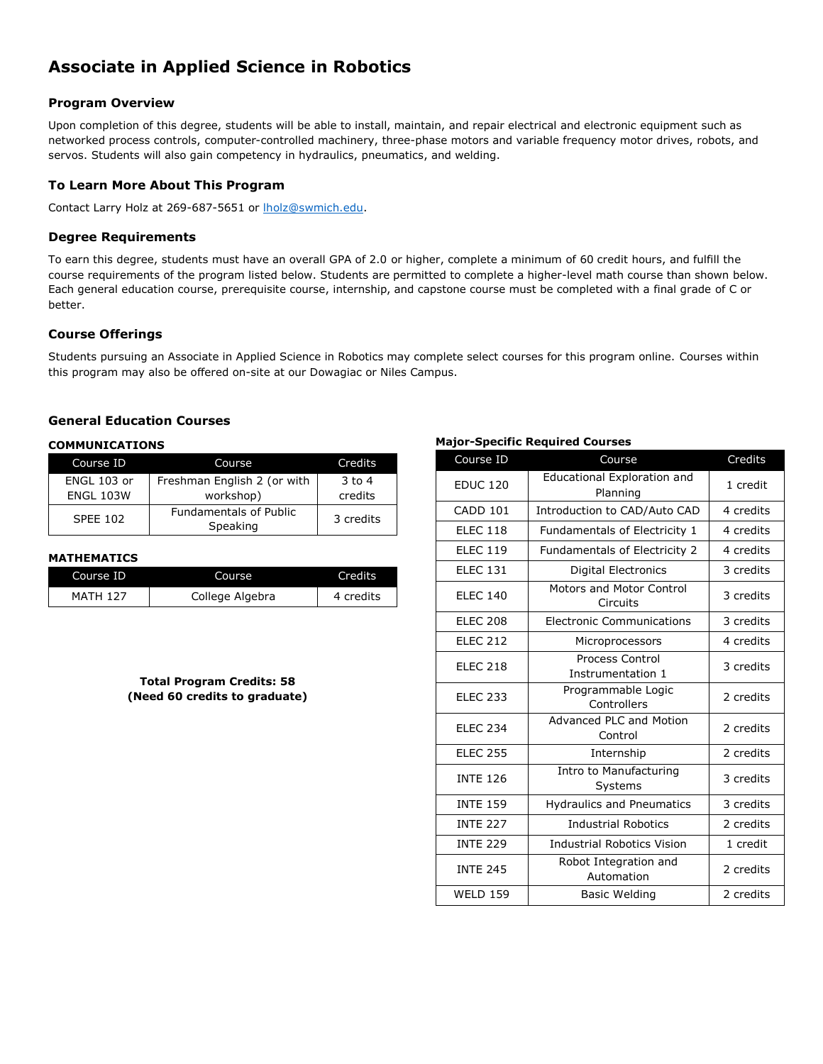# **Associate in Applied Science in Robotics**

## **Program Overview**

Upon completion of this degree, students will be able to install, maintain, and repair electrical and electronic equipment such as networked process controls, computer-controlled machinery, three-phase motors and variable frequency motor drives, robots, and servos. Students will also gain competency in hydraulics, pneumatics, and welding.

# **To Learn More About This Program**

Contact Larry Holz at 269-687-5651 or [lholz@swmich.edu.](mailto:lholz@swmich.edu)

## **Degree Requirements**

To earn this degree, students must have an overall GPA of 2.0 or higher, complete a minimum of 60 credit hours, and fulfill the course requirements of the program listed below. Students are permitted to complete a higher-level math course than shown below. Each general education course, prerequisite course, internship, and capstone course must be completed with a final grade of C or better.

## **Course Offerings**

Students pursuing an Associate in Applied Science in Robotics may complete select courses for this program online. Courses within this program may also be offered on-site at our Dowagiac or Niles Campus.

# **General Education Courses**

#### **COMMUNICATIONS**

| Course ID        | Course                                    | Credits   |
|------------------|-------------------------------------------|-----------|
| ENGL 103 or      | Freshman English 2 (or with               | $3$ to 4  |
| <b>ENGL 103W</b> | workshop)                                 | credits   |
| <b>SPEE 102</b>  | <b>Fundamentals of Public</b><br>Speaking | 3 credits |

## **MATHEMATICS**

| Course ID       | Course          | Credits   |
|-----------------|-----------------|-----------|
| <b>MATH 127</b> | College Algebra | 4 credits |

## **Total Program Credits: 58 (Need 60 credits to graduate)**

#### **Major-Specific Required Courses**

| Course ID       | Course                                         | Credits   |  |
|-----------------|------------------------------------------------|-----------|--|
| <b>EDUC 120</b> | <b>Educational Exploration and</b><br>Planning | 1 credit  |  |
| CADD 101        | Introduction to CAD/Auto CAD                   | 4 credits |  |
| <b>ELEC 118</b> | Fundamentals of Electricity 1                  | 4 credits |  |
| <b>ELEC 119</b> | Fundamentals of Electricity 2                  | 4 credits |  |
| <b>ELEC 131</b> | Digital Electronics                            | 3 credits |  |
| <b>ELEC 140</b> | Motors and Motor Control<br>Circuits           | 3 credits |  |
| <b>ELEC 208</b> | <b>Electronic Communications</b>               | 3 credits |  |
| <b>ELEC 212</b> | Microprocessors                                | 4 credits |  |
| <b>ELEC 218</b> | Process Control<br>Instrumentation 1           | 3 credits |  |
| <b>ELEC 233</b> | Programmable Logic<br>Controllers              | 2 credits |  |
| <b>ELEC 234</b> | Advanced PLC and Motion<br>Control             | 2 credits |  |
| <b>ELEC 255</b> | Internship                                     | 2 credits |  |
| <b>INTE 126</b> | Intro to Manufacturing<br>Systems              | 3 credits |  |
| <b>INTE 159</b> | <b>Hydraulics and Pneumatics</b>               |           |  |
| <b>INTE 227</b> | <b>Industrial Robotics</b>                     | 2 credits |  |
| <b>INTE 229</b> | <b>Industrial Robotics Vision</b>              | 1 credit  |  |
| <b>INTE 245</b> | Robot Integration and<br>Automation            | 2 credits |  |
| <b>WELD 159</b> | <b>Basic Welding</b>                           |           |  |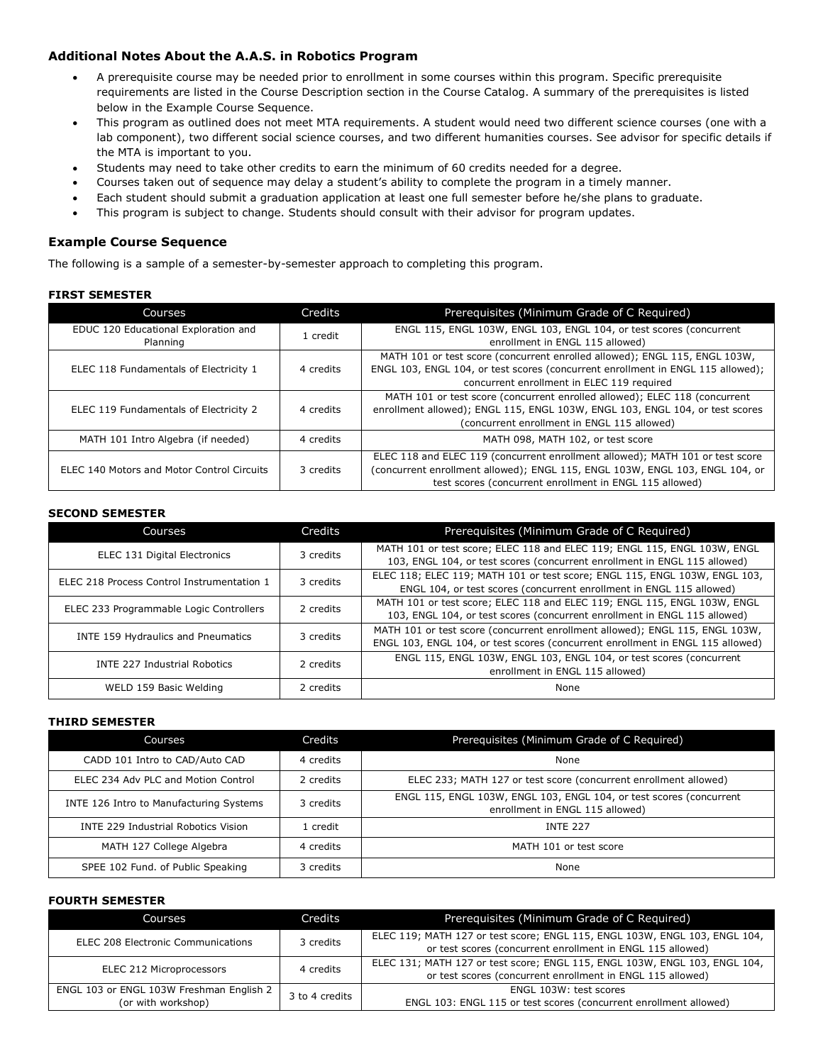# **Additional Notes About the A.A.S. in Robotics Program**

- A prerequisite course may be needed prior to enrollment in some courses within this program. Specific prerequisite requirements are listed in the Course Description section in the Course Catalog. A summary of the prerequisites is listed below in the Example Course Sequence.
- This program as outlined does not meet MTA requirements. A student would need two different science courses (one with a lab component), two different social science courses, and two different humanities courses. See advisor for specific details if the MTA is important to you.
- Students may need to take other credits to earn the minimum of 60 credits needed for a degree.
- Courses taken out of sequence may delay a student's ability to complete the program in a timely manner.
- Each student should submit a graduation application at least one full semester before he/she plans to graduate.
- This program is subject to change. Students should consult with their advisor for program updates.

# **Example Course Sequence**

The following is a sample of a semester-by-semester approach to completing this program.

## **FIRST SEMESTER**

| Courses                                           | Credits   | Prerequisites (Minimum Grade of C Required)                                                                                                                                                                              |
|---------------------------------------------------|-----------|--------------------------------------------------------------------------------------------------------------------------------------------------------------------------------------------------------------------------|
| EDUC 120 Educational Exploration and<br>Planning  | 1 credit  | ENGL 115, ENGL 103W, ENGL 103, ENGL 104, or test scores (concurrent<br>enrollment in ENGL 115 allowed)                                                                                                                   |
| ELEC 118 Fundamentals of Electricity 1            | 4 credits | MATH 101 or test score (concurrent enrolled allowed); ENGL 115, ENGL 103W,<br>ENGL 103, ENGL 104, or test scores (concurrent enrollment in ENGL 115 allowed);<br>concurrent enrollment in ELEC 119 required              |
| ELEC 119 Fundamentals of Electricity 2            | 4 credits | MATH 101 or test score (concurrent enrolled allowed); ELEC 118 (concurrent<br>enrollment allowed); ENGL 115, ENGL 103W, ENGL 103, ENGL 104, or test scores<br>(concurrent enrollment in ENGL 115 allowed)                |
| MATH 101 Intro Algebra (if needed)                | 4 credits | MATH 098, MATH 102, or test score                                                                                                                                                                                        |
| <b>ELEC 140 Motors and Motor Control Circuits</b> | 3 credits | ELEC 118 and ELEC 119 (concurrent enrollment allowed); MATH 101 or test score<br>(concurrent enrollment allowed); ENGL 115, ENGL 103W, ENGL 103, ENGL 104, or<br>test scores (concurrent enrollment in ENGL 115 allowed) |

#### **SECOND SEMESTER**

| Courses                                    | Credits   | Prerequisites (Minimum Grade of C Required)                                                                                                                    |
|--------------------------------------------|-----------|----------------------------------------------------------------------------------------------------------------------------------------------------------------|
| <b>ELEC 131 Digital Electronics</b>        | 3 credits | MATH 101 or test score; ELEC 118 and ELEC 119; ENGL 115, ENGL 103W, ENGL<br>103, ENGL 104, or test scores (concurrent enrollment in ENGL 115 allowed)          |
| ELEC 218 Process Control Instrumentation 1 | 3 credits | ELEC 118; ELEC 119; MATH 101 or test score; ENGL 115, ENGL 103W, ENGL 103,<br>ENGL 104, or test scores (concurrent enrollment in ENGL 115 allowed)             |
| ELEC 233 Programmable Logic Controllers    | 2 credits | MATH 101 or test score; ELEC 118 and ELEC 119; ENGL 115, ENGL 103W, ENGL<br>103, ENGL 104, or test scores (concurrent enrollment in ENGL 115 allowed)          |
| INTE 159 Hydraulics and Pneumatics         | 3 credits | MATH 101 or test score (concurrent enrollment allowed); ENGL 115, ENGL 103W,<br>ENGL 103, ENGL 104, or test scores (concurrent enrollment in ENGL 115 allowed) |
| <b>INTE 227 Industrial Robotics</b>        | 2 credits | ENGL 115, ENGL 103W, ENGL 103, ENGL 104, or test scores (concurrent<br>enrollment in ENGL 115 allowed)                                                         |
| WELD 159 Basic Welding                     | 2 credits | None                                                                                                                                                           |

#### **THIRD SEMESTER**

| <b>Courses</b>                             | Credits   | Prerequisites (Minimum Grade of C Required)                                                            |
|--------------------------------------------|-----------|--------------------------------------------------------------------------------------------------------|
| CADD 101 Intro to CAD/Auto CAD             | 4 credits | None                                                                                                   |
| ELEC 234 Adv PLC and Motion Control        | 2 credits | ELEC 233; MATH 127 or test score (concurrent enrollment allowed)                                       |
| INTE 126 Intro to Manufacturing Systems    | 3 credits | ENGL 115, ENGL 103W, ENGL 103, ENGL 104, or test scores (concurrent<br>enrollment in ENGL 115 allowed) |
| <b>INTE 229 Industrial Robotics Vision</b> | L credit. | INTF <sub>227</sub>                                                                                    |
| MATH 127 College Algebra                   | 4 credits | MATH 101 or test score                                                                                 |
| SPEE 102 Fund. of Public Speaking          | 3 credits | None                                                                                                   |

#### **FOURTH SEMESTER**

| Courses                                                        | Credits        | Prerequisites (Minimum Grade of C Required)                                                                                              |
|----------------------------------------------------------------|----------------|------------------------------------------------------------------------------------------------------------------------------------------|
| <b>ELEC 208 Electronic Communications</b>                      | 3 credits      | ELEC 119; MATH 127 or test score; ENGL 115, ENGL 103W, ENGL 103, ENGL 104,<br>or test scores (concurrent enrollment in ENGL 115 allowed) |
| ELEC 212 Microprocessors                                       | 4 credits      | ELEC 131; MATH 127 or test score; ENGL 115, ENGL 103W, ENGL 103, ENGL 104,<br>or test scores (concurrent enrollment in ENGL 115 allowed) |
| ENGL 103 or ENGL 103W Freshman English 2<br>(or with workshop) | 3 to 4 credits | ENGL 103W: test scores<br>ENGL 103: ENGL 115 or test scores (concurrent enrollment allowed)                                              |